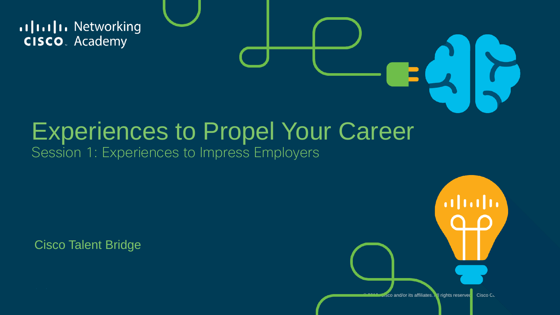allalla Networking **CISCO**. Academy

#### Experiences to Propel Your Career Session 1: Experiences to Impress Employers

Cisco Talent Bridge

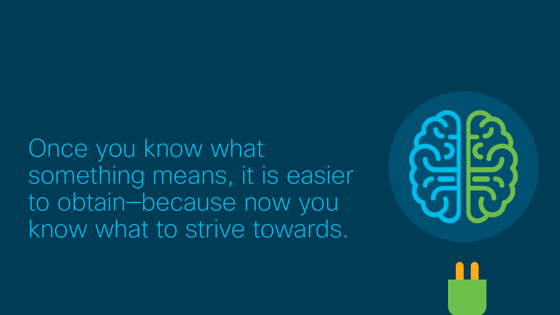Once you know what something means, it is easier to obtain—because now you know what to strive towards.

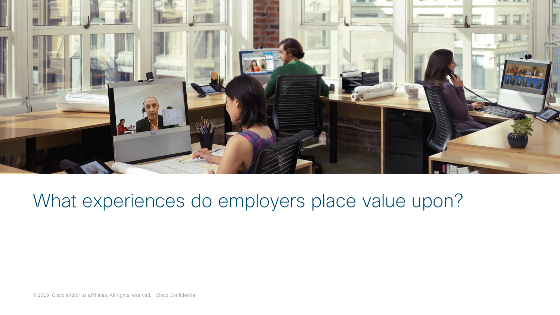

#### What experiences do employers place value upon?

© 2018 Cisco and/or its affiliates. All rights reserved. Cisco Confidential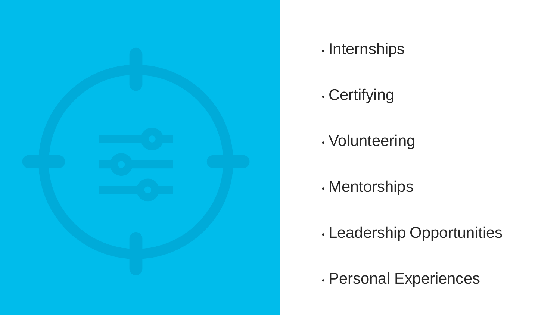

#### • Internships

#### • Certifying

- Volunteering
- Mentorships
- Leadership Opportunities
- Personal Experiences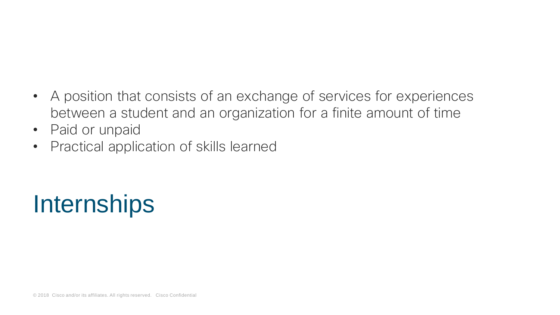- A position that consists of an exchange of services for experiences between a student and an organization for a finite amount of time
- Paid or unpaid
- Practical application of skills learned

## **Internships**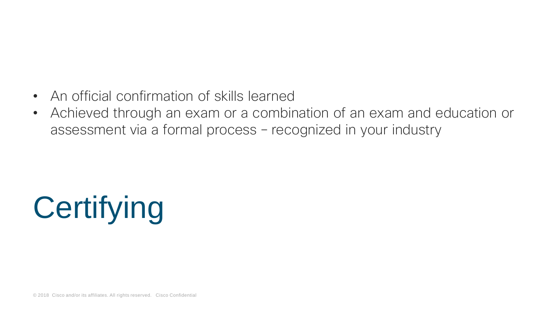- An official confirmation of skills learned
- Achieved through an exam or a combination of an exam and education or assessment via a formal process – recognized in your industry

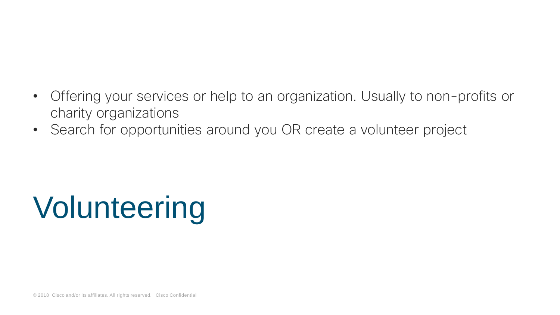- Offering your services or help to an organization. Usually to non-profits or charity organizations
- Search for opportunities around you OR create a volunteer project

# Volunteering

© 2018 Cisco and/or its affiliates. All rights reserved. Cisco Confidential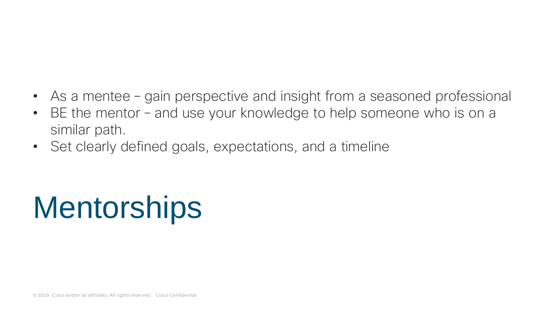- As a mentee gain perspective and insight from a seasoned professional
- BE the mentor and use your knowledge to help someone who is on a similar path.
- Set clearly defined goals, expectations, and a timeline

# **Mentorships**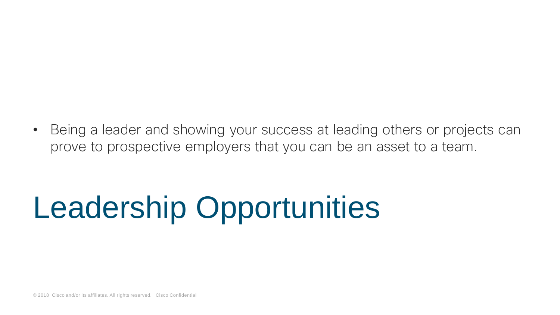• Being a leader and showing your success at leading others or projects can prove to prospective employers that you can be an asset to a team.

## Leadership Opportunities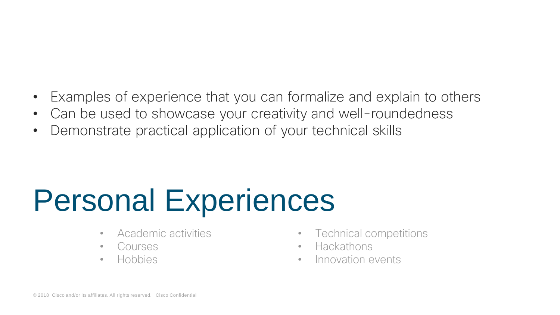- Examples of experience that you can formalize and explain to others
- Can be used to showcase your creativity and well-roundedness
- Demonstrate practical application of your technical skills

## Personal Experiences

- Academic activities
- Courses
- Hobbies
- Technical competitions
- Hackathons
- Innovation events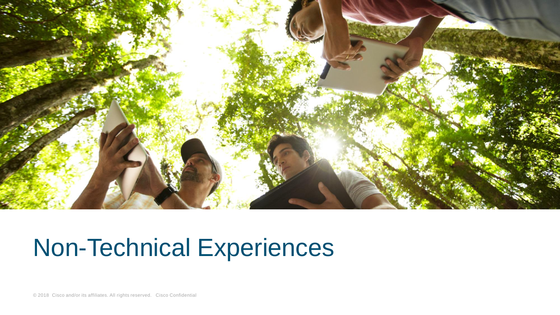

### Non-Technical Experiences

© 2018 Cisco and/or its affiliates. All rights reserved. Cisco Confidential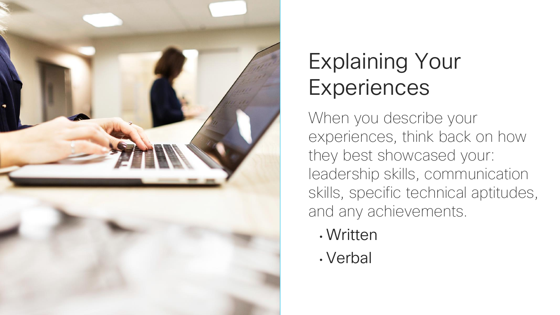

### Explaining Your **Experiences**

When you describe your experiences, think back on how they best showcased your: leadership skills, communication skills, specific technical aptitudes, and any achievements.

- Written
- Verbal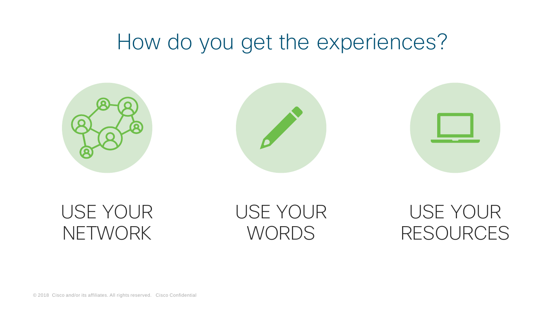### How do you get the experiences?



USE YOUR **NETWORK** 

USE YOUR **WORDS** 

USE YOUR RESOURCES